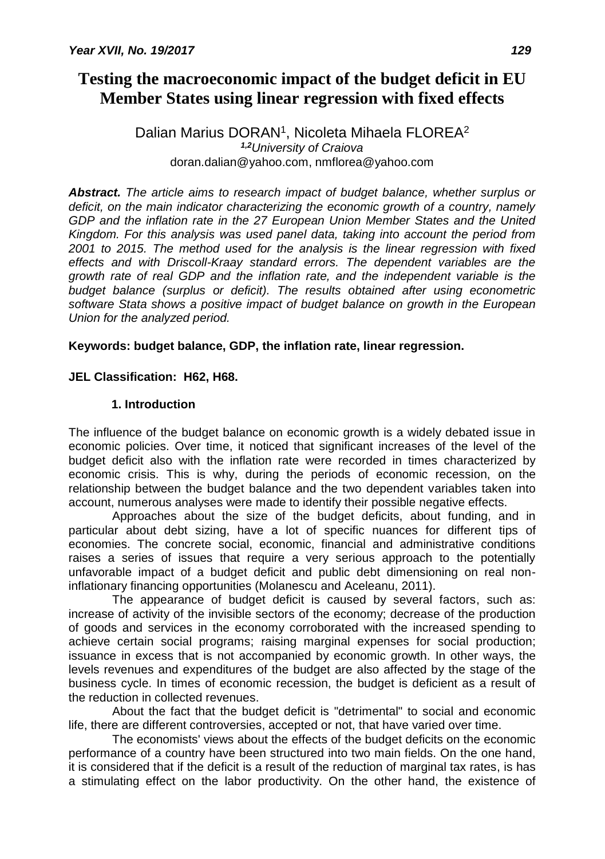# **Testing the macroeconomic impact of the budget deficit in EU Member States using linear regression with fixed effects**

### Dalian Marius DORAN<sup>1</sup>, Nicoleta Mihaela FLOREA<sup>2</sup> *1,2University of Craiova* doran.dalian@yahoo.com, nmflorea@yahoo.com

*Abstract. The article aims to research impact of budget balance, whether surplus or deficit, on the main indicator characterizing the economic growth of a country, namely GDP and the inflation rate in the 27 European Union Member States and the United Kingdom. For this analysis was used panel data, taking into account the period from 2001 to 2015. The method used for the analysis is the linear regression with fixed effects and with Driscoll-Kraay standard errors. The dependent variables are the growth rate of real GDP and the inflation rate, and the independent variable is the budget balance (surplus or deficit). The results obtained after using econometric software Stata shows a positive impact of budget balance on growth in the European Union for the analyzed period.*

## **Keywords: budget balance, GDP, the inflation rate, linear regression.**

## **JEL Classification: H62, H68.**

## **1. Introduction**

The influence of the budget balance on economic growth is a widely debated issue in economic policies. Over time, it noticed that significant increases of the level of the budget deficit also with the inflation rate were recorded in times characterized by economic crisis. This is why, during the periods of economic recession, on the relationship between the budget balance and the two dependent variables taken into account, numerous analyses were made to identify their possible negative effects.

Approaches about the size of the budget deficits, about funding, and in particular about debt sizing, have a lot of specific nuances for different tips of economies. The concrete social, economic, financial and administrative conditions raises a series of issues that require a very serious approach to the potentially unfavorable impact of a budget deficit and public debt dimensioning on real noninflationary financing opportunities (Molanescu and Aceleanu, 2011).

The appearance of budget deficit is caused by several factors, such as: increase of activity of the invisible sectors of the economy; decrease of the production of goods and services in the economy corroborated with the increased spending to achieve certain social programs; raising marginal expenses for social production; issuance in excess that is not accompanied by economic growth. In other ways, the levels revenues and expenditures of the budget are also affected by the stage of the business cycle. In times of economic recession, the budget is deficient as a result of the reduction in collected revenues.

About the fact that the budget deficit is "detrimental" to social and economic life, there are different controversies, accepted or not, that have varied over time.

The economists' views about the effects of the budget deficits on the economic performance of a country have been structured into two main fields. On the one hand, it is considered that if the deficit is a result of the reduction of marginal tax rates, is has a stimulating effect on the labor productivity. On the other hand, the existence of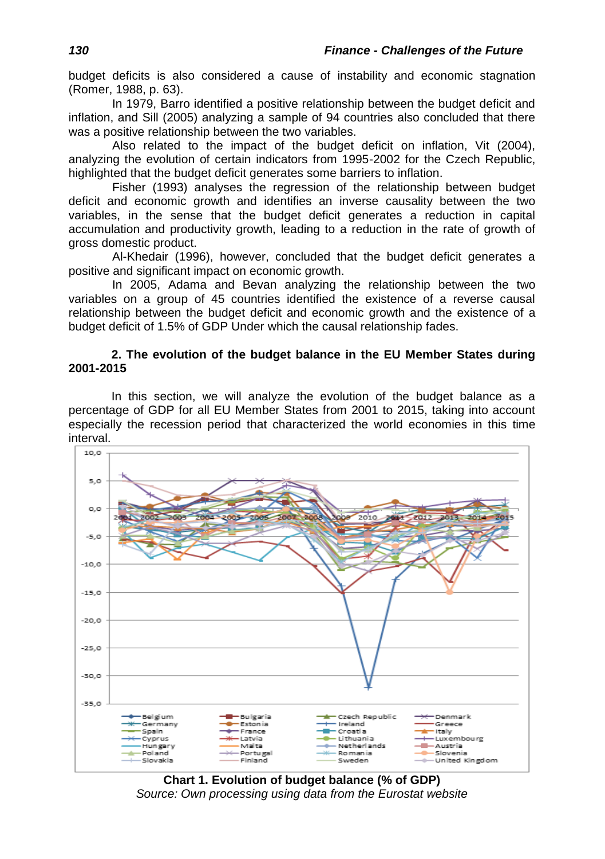budget deficits is also considered a cause of instability and economic stagnation (Romer, 1988, p. 63).

In 1979, Barro identified a positive relationship between the budget deficit and inflation, and Sill (2005) analyzing a sample of 94 countries also concluded that there was a positive relationship between the two variables.

Also related to the impact of the budget deficit on inflation, Vit (2004), analyzing the evolution of certain indicators from 1995-2002 for the Czech Republic, highlighted that the budget deficit generates some barriers to inflation.

Fisher (1993) analyses the regression of the relationship between budget deficit and economic growth and identifies an inverse causality between the two variables, in the sense that the budget deficit generates a reduction in capital accumulation and productivity growth, leading to a reduction in the rate of growth of gross domestic product.

Al-Khedair (1996), however, concluded that the budget deficit generates a positive and significant impact on economic growth.

In 2005, Adama and Bevan analyzing the relationship between the two variables on a group of 45 countries identified the existence of a reverse causal relationship between the budget deficit and economic growth and the existence of a budget deficit of 1.5% of GDP Under which the causal relationship fades.

#### **2. The evolution of the budget balance in the EU Member States during 2001-2015**

In this section, we will analyze the evolution of the budget balance as a percentage of GDP for all EU Member States from 2001 to 2015, taking into account especially the recession period that characterized the world economies in this time interval.



**Chart 1. Evolution of budget balance (% of GDP)** *Source: Own processing using data from the Eurostat website*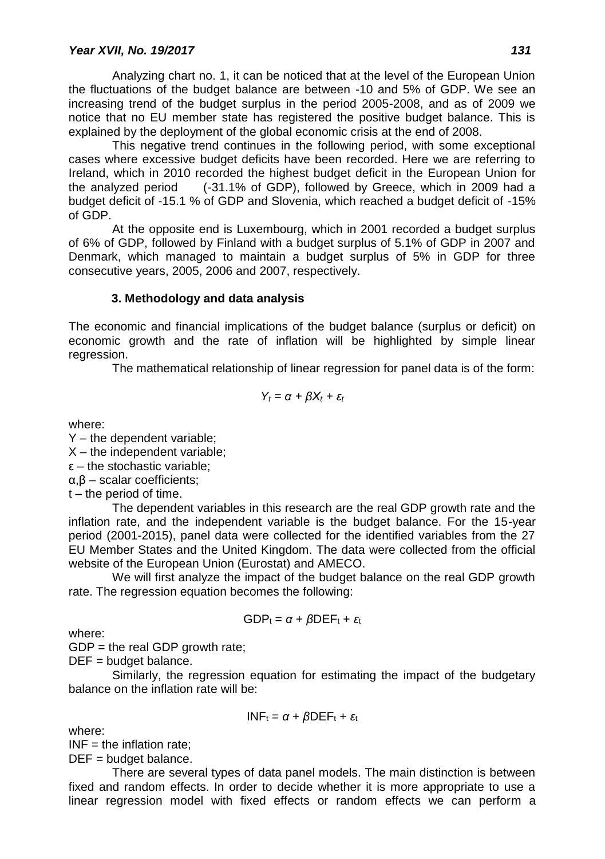Analyzing chart no. 1, it can be noticed that at the level of the European Union the fluctuations of the budget balance are between -10 and 5% of GDP. We see an increasing trend of the budget surplus in the period 2005-2008, and as of 2009 we notice that no EU member state has registered the positive budget balance. This is explained by the deployment of the global economic crisis at the end of 2008.

This negative trend continues in the following period, with some exceptional cases where excessive budget deficits have been recorded. Here we are referring to Ireland, which in 2010 recorded the highest budget deficit in the European Union for the analyzed period (-31.1% of GDP), followed by Greece, which in 2009 had a budget deficit of -15.1 % of GDP and Slovenia, which reached a budget deficit of -15% of GDP.

At the opposite end is Luxembourg, which in 2001 recorded a budget surplus of 6% of GDP, followed by Finland with a budget surplus of 5.1% of GDP in 2007 and Denmark, which managed to maintain a budget surplus of 5% in GDP for three consecutive years, 2005, 2006 and 2007, respectively.

### **3. Methodology and data analysis**

The economic and financial implications of the budget balance (surplus or deficit) on economic growth and the rate of inflation will be highlighted by simple linear regression.

The mathematical relationship of linear regression for panel data is of the form:

$$
Y_t = \alpha + \beta X_t + \varepsilon_t
$$

where:

Y – the dependent variable;

 $X$  – the independent variable;

 $\epsilon$  – the stochastic variable;

α,β – scalar coefficients;

t – the period of time.

The dependent variables in this research are the real GDP growth rate and the inflation rate, and the independent variable is the budget balance. For the 15-year period (2001-2015), panel data were collected for the identified variables from the 27 EU Member States and the United Kingdom. The data were collected from the official website of the European Union (Eurostat) and AMECO.

We will first analyze the impact of the budget balance on the real GDP growth rate. The regression equation becomes the following:

$$
GDP_t = \alpha + \beta DEF_t + \varepsilon_t
$$

where:

 $GDP =$  the real GDP growth rate;

DEF = budget balance.

Similarly, the regression equation for estimating the impact of the budgetary balance on the inflation rate will be:

$$
INF_t = \alpha + \beta DEF_t + \varepsilon_t
$$

where:

 $INF = the inflation rate;$ 

DEF = budget balance.

There are several types of data panel models. The main distinction is between fixed and random effects. In order to decide whether it is more appropriate to use a linear regression model with fixed effects or random effects we can perform a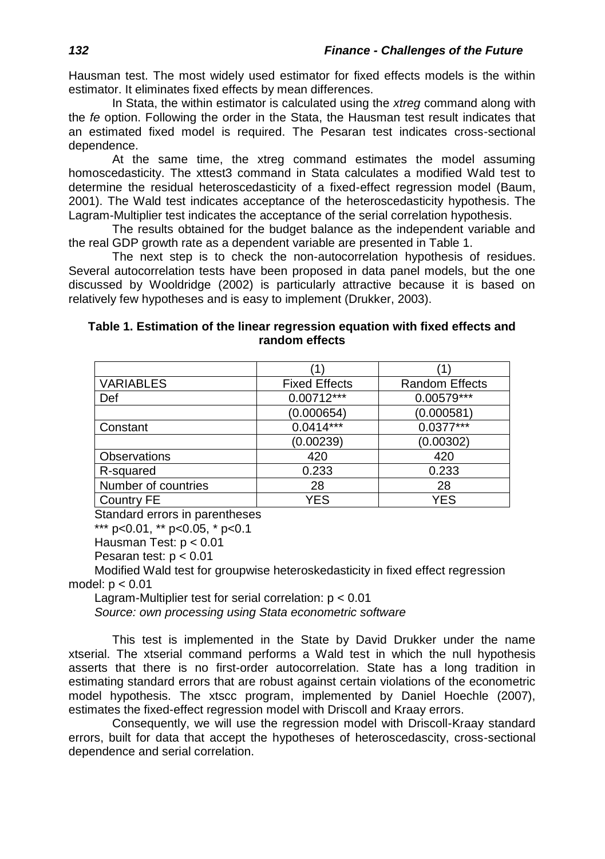Hausman test. The most widely used estimator for fixed effects models is the within estimator. It eliminates fixed effects by mean differences.

In Stata, the within estimator is calculated using the *xtreg* command along with the *fe* option. Following the order in the Stata, the Hausman test result indicates that an estimated fixed model is required. The Pesaran test indicates cross-sectional dependence.

At the same time, the xtreg command estimates the model assuming homoscedasticity. The xttest3 command in Stata calculates a modified Wald test to determine the residual heteroscedasticity of a fixed-effect regression model (Baum, 2001). The Wald test indicates acceptance of the heteroscedasticity hypothesis. The Lagram-Multiplier test indicates the acceptance of the serial correlation hypothesis.

The results obtained for the budget balance as the independent variable and the real GDP growth rate as a dependent variable are presented in Table 1.

The next step is to check the non-autocorrelation hypothesis of residues. Several autocorrelation tests have been proposed in data panel models, but the one discussed by Wooldridge (2002) is particularly attractive because it is based on relatively few hypotheses and is easy to implement (Drukker, 2003).

|                |  |  |  | Table 1. Estimation of the linear regression equation with fixed effects and |  |  |  |
|----------------|--|--|--|------------------------------------------------------------------------------|--|--|--|
| random effects |  |  |  |                                                                              |  |  |  |

| <b>VARIABLES</b>    | <b>Fixed Effects</b>   | <b>Random Effects</b> |
|---------------------|------------------------|-----------------------|
| Def                 | $0.00712***$           | 0.00579***            |
|                     | (0.000654)             | (0.000581)            |
| Constant            | $0.04\overline{14***}$ | $0.0377***$           |
|                     | (0.00239)              | (0.00302)             |
| Observations        | 420                    | 420                   |
| R-squared           | 0.233                  | 0.233                 |
| Number of countries | 28                     | 28                    |
| Country FE          | YES                    | <b>YES</b>            |

Standard errors in parentheses

\*\*\* p<0.01, \*\* p<0.05, \* p<0.1

Hausman Test: p < 0.01

Pesaran test:  $p < 0.01$ 

Modified Wald test for groupwise heteroskedasticity in fixed effect regression model: p < 0.01

Lagram-Multiplier test for serial correlation: p < 0.01

*Source: own processing using Stata econometric software*

This test is implemented in the State by David Drukker under the name xtserial. The xtserial command performs a Wald test in which the null hypothesis asserts that there is no first-order autocorrelation. State has a long tradition in estimating standard errors that are robust against certain violations of the econometric model hypothesis. The xtscc program, implemented by Daniel Hoechle (2007), estimates the fixed-effect regression model with Driscoll and Kraay errors.

Consequently, we will use the regression model with Driscoll-Kraay standard errors, built for data that accept the hypotheses of heteroscedascity, cross-sectional dependence and serial correlation.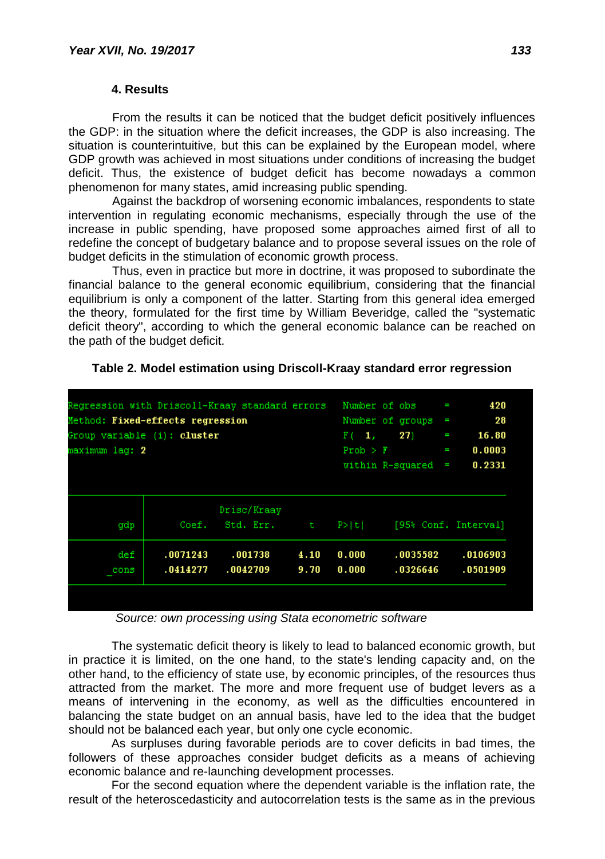#### **4. Results**

From the results it can be noticed that the budget deficit positively influences the GDP: in the situation where the deficit increases, the GDP is also increasing. The situation is counterintuitive, but this can be explained by the European model, where GDP growth was achieved in most situations under conditions of increasing the budget deficit. Thus, the existence of budget deficit has become nowadays a common phenomenon for many states, amid increasing public spending.

Against the backdrop of worsening economic imbalances, respondents to state intervention in regulating economic mechanisms, especially through the use of the increase in public spending, have proposed some approaches aimed first of all to redefine the concept of budgetary balance and to propose several issues on the role of budget deficits in the stimulation of economic growth process.

Thus, even in practice but more in doctrine, it was proposed to subordinate the financial balance to the general economic equilibrium, considering that the financial equilibrium is only a component of the latter. Starting from this general idea emerged the theory, formulated for the first time by William Beveridge, called the "systematic deficit theory", according to which the general economic balance can be reached on the path of the budget deficit.

| Regression with Driscoll-Kraay standard errors<br>Method: Fixed-effects regression<br>Group variable (i): cluster<br>maximum lag: 2 |                               |                |                      | 16.80<br>I<br>0.0003<br>T<br>0.2331<br>ï |
|-------------------------------------------------------------------------------------------------------------------------------------|-------------------------------|----------------|----------------------|------------------------------------------|
| Drisc/Kraay<br>Std. Err.                                                                                                            | ∴ t                           | P >  U         |                      | [95% Conf. Interval]                     |
| .001738<br>.0042709                                                                                                                 | 4.10<br>9.70                  | 0.000<br>0.000 | .0035582<br>.0326646 | .0106903<br>.0501909                     |
|                                                                                                                                     | Coef.<br>.0071243<br>.0414277 |                |                      | within R-squared                         |

#### **Table 2. Model estimation using Driscoll-Kraay standard error regression**

*Source: own processing using Stata econometric software*

The systematic deficit theory is likely to lead to balanced economic growth, but in practice it is limited, on the one hand, to the state's lending capacity and, on the other hand, to the efficiency of state use, by economic principles, of the resources thus attracted from the market. The more and more frequent use of budget levers as a means of intervening in the economy, as well as the difficulties encountered in balancing the state budget on an annual basis, have led to the idea that the budget should not be balanced each year, but only one cycle economic.

As surpluses during favorable periods are to cover deficits in bad times, the followers of these approaches consider budget deficits as a means of achieving economic balance and re-launching development processes.

For the second equation where the dependent variable is the inflation rate, the result of the heteroscedasticity and autocorrelation tests is the same as in the previous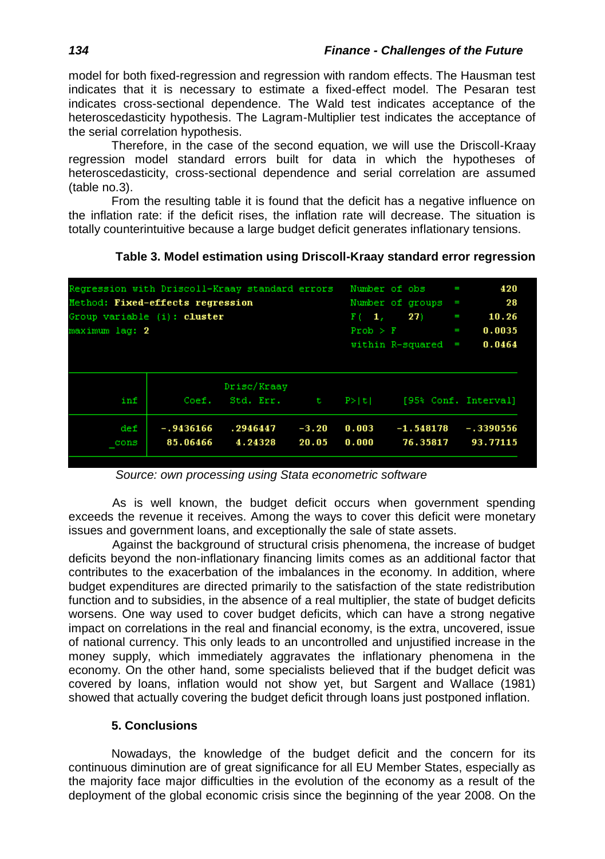model for both fixed-regression and regression with random effects. The Hausman test indicates that it is necessary to estimate a fixed-effect model. The Pesaran test indicates cross-sectional dependence. The Wald test indicates acceptance of the heteroscedasticity hypothesis. The Lagram-Multiplier test indicates the acceptance of the serial correlation hypothesis.

Therefore, in the case of the second equation, we will use the Driscoll-Kraay regression model standard errors built for data in which the hypotheses of heteroscedasticity, cross-sectional dependence and serial correlation are assumed (table no.3).

From the resulting table it is found that the deficit has a negative influence on the inflation rate: if the deficit rises, the inflation rate will decrease. The situation is totally counterintuitive because a large budget deficit generates inflationary tensions.

| Regression with Driscoll-Kraay standard errors<br>Method: Fixed-effects regression<br>Group variable (i): cluster<br>maximum lag: 2 |                         |                          |                  | $F(-1)$<br>Prob > F | Number of obs<br>Number of groups<br>27)<br>within R-squared | I<br>I<br>I<br>I<br>I | 420<br>28<br>10.26<br>0.0035<br>0.0464 |
|-------------------------------------------------------------------------------------------------------------------------------------|-------------------------|--------------------------|------------------|---------------------|--------------------------------------------------------------|-----------------------|----------------------------------------|
| inf                                                                                                                                 | Coef.                   | Drisc/Kraav<br>Std. Err. | t.               | P >  t              |                                                              |                       | [95% Conf. Interval]                   |
| def<br>cons                                                                                                                         | $-.9436166$<br>85.06466 | .2946447<br>4.24328      | $-3.20$<br>20.05 | 0.003<br>0.000      | $-1.548178$<br>76.35817                                      |                       | $-.3390556$<br>93.77115                |

#### **Table 3. Model estimation using Driscoll-Kraay standard error regression**

*Source: own processing using Stata econometric software*

As is well known, the budget deficit occurs when government spending exceeds the revenue it receives. Among the ways to cover this deficit were monetary issues and government loans, and exceptionally the sale of state assets.

Against the background of structural crisis phenomena, the increase of budget deficits beyond the non-inflationary financing limits comes as an additional factor that contributes to the exacerbation of the imbalances in the economy. In addition, where budget expenditures are directed primarily to the satisfaction of the state redistribution function and to subsidies, in the absence of a real multiplier, the state of budget deficits worsens. One way used to cover budget deficits, which can have a strong negative impact on correlations in the real and financial economy, is the extra, uncovered, issue of national currency. This only leads to an uncontrolled and unjustified increase in the money supply, which immediately aggravates the inflationary phenomena in the economy. On the other hand, some specialists believed that if the budget deficit was covered by loans, inflation would not show yet, but Sargent and Wallace (1981) showed that actually covering the budget deficit through loans just postponed inflation.

### **5. Conclusions**

Nowadays, the knowledge of the budget deficit and the concern for its continuous diminution are of great significance for all EU Member States, especially as the majority face major difficulties in the evolution of the economy as a result of the deployment of the global economic crisis since the beginning of the year 2008. On the